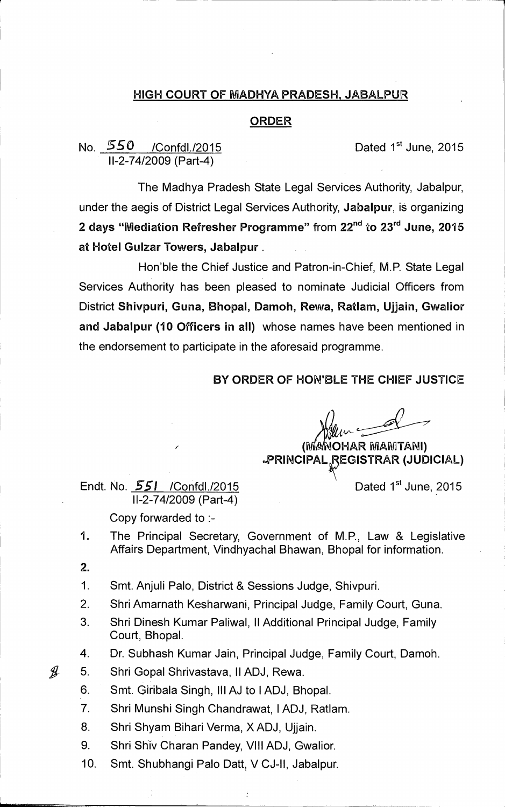## **HIGH COURT OF MADHYA PRADESH, JABALPUR**

## **ORDER**

## No. **550** /Confdl./2015 **Dated 1<sup>st</sup> June, 2015 11-2-74/2009 (Part-4)**

**The Madhya Pradesh State Legal Services Authority, Jabalpur, under the aegis of District Legal Services Authority, Jabalpur, is organizing**  2 days "Mediation Refresher Programme" from 22<sup>nd</sup> to 23<sup>rd</sup> June, 2015 **at Hotel Gulzar Towers, Jabalpur.** 

**Hon'ble the Chief Justice and Patron-in-Chief, M.P. State Legal Services Authority has been pleased to nominate Judicial Officers from District Shivpuri, Guna, Bhopal, Damoh, Rewa, Ratlam, Ujjain, Gwalior and Jabalpur (10 Officers in all) whose names have been mentioned in the endorsement to participate in the aforesaid programme.** 

## **BY ORDER OF HONIBLE THE CHIEF JUSTICE**

**( OHAR ePRINCIPAL REGISTRAR (JUDICIAL)** 

**Endt. No. 551 / Confdl./2015 Dated 1<sup>st</sup> June, 2015 11-2-74/2009 (Part-4)** 

**Copy forwarded to :-** 

- **1. The Principal Secretary, Government of M.P., Law & Legislative Affairs Department, Vindhyachal Bhawan, Bhopal for information.**
- **2.**

 $\mathscr{Y}$ 

- **1. Smt. Anjuli Palo, District & Sessions Judge, Shivpuri.**
- **2. Shri Amarnath Kesharwani, Principal Judge, Family Court, Guna.**
- **3. Shri Dinesh Kumar Paliwal, II Additional Principal Judge, Family Court, Bhopal.**

**4. Dr. Subhash Kumar Jain, Principal Judge, Family Court, Damoh.** 

- **5. Shri Gopal Shrivastava, 11ADJ, Rewa.** 
	- **6. Smt. Giribala Singh, Ill AJ to 1ADJ, Bhopal.**
	- **7. Shri Munshi Singh Chandrawat, 1ADJ, Ratlam.**
	- **8. Shri Shyam Bihari Verma, X ADJ, Ujjain.**
	- **9. Shri Shiv Charan Pandey, VIII ADJ, Gwalior.**
	- 10. Smt. Shubhangi Palo Datt, V CJ-II, Jabalpur.